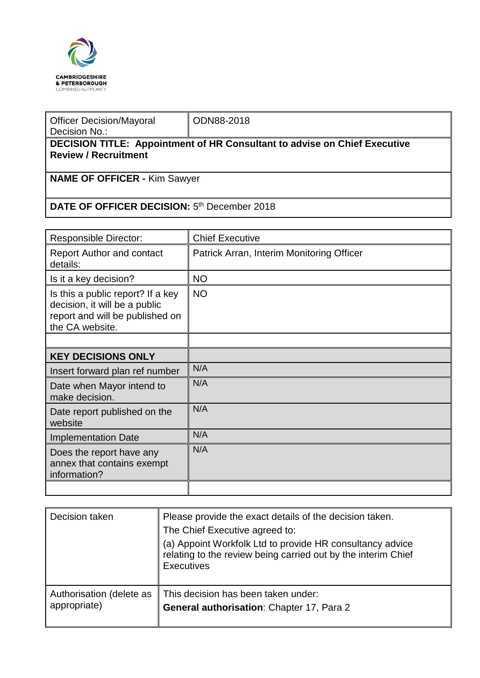

| <b>Officer Decision/Mayoral</b><br>Decision No.:                                 | ODN88-2018 |  |  |  |  |
|----------------------------------------------------------------------------------|------------|--|--|--|--|
| <b>DECISION TITLE: Appointment of HR Consultant to advise on Chief Executive</b> |            |  |  |  |  |
| <b>Review / Recruitment</b>                                                      |            |  |  |  |  |
|                                                                                  |            |  |  |  |  |
| <b>NAME OF OFFICER - Kim Sawyer</b>                                              |            |  |  |  |  |
|                                                                                  |            |  |  |  |  |
| DATE OF OFFICER DECISION: 5 <sup>th</sup> December 2018                          |            |  |  |  |  |

| <b>Responsible Director:</b>                                                                                             | <b>Chief Executive</b>                    |
|--------------------------------------------------------------------------------------------------------------------------|-------------------------------------------|
| <b>Report Author and contact</b><br>details:                                                                             | Patrick Arran, Interim Monitoring Officer |
| Is it a key decision?                                                                                                    | <b>NO</b>                                 |
| Is this a public report? If a key<br>decision, it will be a public<br>report and will be published on<br>the CA website. | <b>NO</b>                                 |
|                                                                                                                          |                                           |
| <b>KEY DECISIONS ONLY</b>                                                                                                |                                           |
| Insert forward plan ref number                                                                                           | N/A                                       |
| Date when Mayor intend to<br>make decision.                                                                              | N/A                                       |
| Date report published on the<br>website                                                                                  | N/A                                       |
| <b>Implementation Date</b>                                                                                               | N/A                                       |
| Does the report have any<br>annex that contains exempt<br>information?                                                   | N/A                                       |
|                                                                                                                          |                                           |

| Decision taken           | Please provide the exact details of the decision taken.<br>The Chief Executive agreed to:<br>(a) Appoint Workfolk Ltd to provide HR consultancy advice<br>relating to the review being carried out by the interim Chief<br><b>Executives</b> |
|--------------------------|----------------------------------------------------------------------------------------------------------------------------------------------------------------------------------------------------------------------------------------------|
| Authorisation (delete as | This decision has been taken under:                                                                                                                                                                                                          |
| appropriate)             | General authorisation: Chapter 17, Para 2                                                                                                                                                                                                    |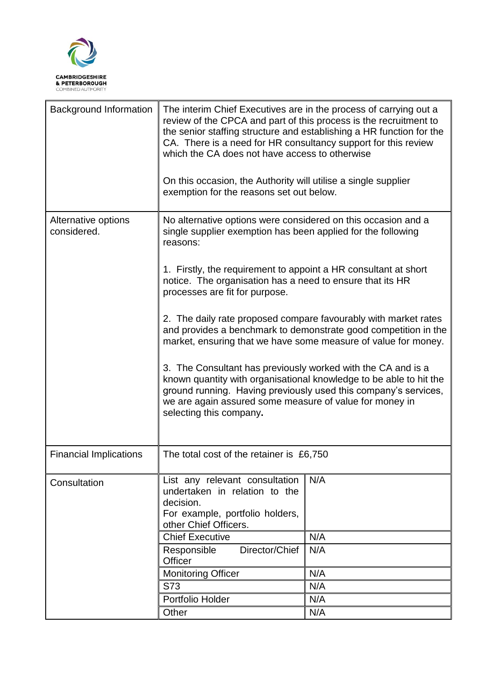

| <b>Background Information</b>      | The interim Chief Executives are in the process of carrying out a<br>review of the CPCA and part of this process is the recruitment to<br>the senior staffing structure and establishing a HR function for the<br>CA. There is a need for HR consultancy support for this review<br>which the CA does not have access to otherwise<br>On this occasion, the Authority will utilise a single supplier<br>exemption for the reasons set out below.                                                                                                                                                                                                                                                                                                                                                                   |     |  |
|------------------------------------|--------------------------------------------------------------------------------------------------------------------------------------------------------------------------------------------------------------------------------------------------------------------------------------------------------------------------------------------------------------------------------------------------------------------------------------------------------------------------------------------------------------------------------------------------------------------------------------------------------------------------------------------------------------------------------------------------------------------------------------------------------------------------------------------------------------------|-----|--|
| Alternative options<br>considered. | No alternative options were considered on this occasion and a<br>single supplier exemption has been applied for the following<br>reasons:<br>1. Firstly, the requirement to appoint a HR consultant at short<br>notice. The organisation has a need to ensure that its HR<br>processes are fit for purpose.<br>2. The daily rate proposed compare favourably with market rates<br>and provides a benchmark to demonstrate good competition in the<br>market, ensuring that we have some measure of value for money.<br>3. The Consultant has previously worked with the CA and is a<br>known quantity with organisational knowledge to be able to hit the<br>ground running. Having previously used this company's services,<br>we are again assured some measure of value for money in<br>selecting this company. |     |  |
|                                    |                                                                                                                                                                                                                                                                                                                                                                                                                                                                                                                                                                                                                                                                                                                                                                                                                    |     |  |
|                                    |                                                                                                                                                                                                                                                                                                                                                                                                                                                                                                                                                                                                                                                                                                                                                                                                                    |     |  |
|                                    |                                                                                                                                                                                                                                                                                                                                                                                                                                                                                                                                                                                                                                                                                                                                                                                                                    |     |  |
| <b>Financial Implications</b>      | The total cost of the retainer is £6,750                                                                                                                                                                                                                                                                                                                                                                                                                                                                                                                                                                                                                                                                                                                                                                           |     |  |
| Consultation                       | List any relevant consultation<br>undertaken in relation to the<br>decision.<br>For example, portfolio holders,<br>other Chief Officers.                                                                                                                                                                                                                                                                                                                                                                                                                                                                                                                                                                                                                                                                           | N/A |  |
|                                    | <b>Chief Executive</b>                                                                                                                                                                                                                                                                                                                                                                                                                                                                                                                                                                                                                                                                                                                                                                                             | N/A |  |
|                                    | Director/Chief<br>Responsible<br>Officer                                                                                                                                                                                                                                                                                                                                                                                                                                                                                                                                                                                                                                                                                                                                                                           | N/A |  |
|                                    | <b>Monitoring Officer</b>                                                                                                                                                                                                                                                                                                                                                                                                                                                                                                                                                                                                                                                                                                                                                                                          | N/A |  |
|                                    | S73                                                                                                                                                                                                                                                                                                                                                                                                                                                                                                                                                                                                                                                                                                                                                                                                                | N/A |  |
|                                    | Portfolio Holder                                                                                                                                                                                                                                                                                                                                                                                                                                                                                                                                                                                                                                                                                                                                                                                                   | N/A |  |
|                                    | Other                                                                                                                                                                                                                                                                                                                                                                                                                                                                                                                                                                                                                                                                                                                                                                                                              | N/A |  |